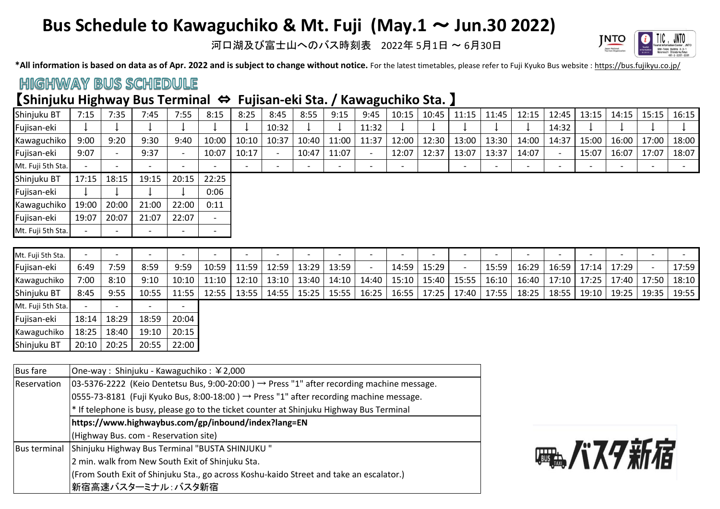# **Bus Schedule to Kawaguchiko & Mt. Fuji (May.1** ~ **Jun.30 2022)**

河口湖及び富士山へのバス時刻表 2022年 5月1日 ~ 6月30日



\*All information is based on data as of Apr. 2022 and is subject to change without notice. For the latest timetables, please refer to Fuji Kyuko Bus website : https://bus.fujikyu.co.jp/

#### **HIGHWAY BUS SCHEDULE**

#### 【**Shinjuku Highway Bus Terminal** ⇔ **Fujisan-eki Sta. / Kawaguchiko Sta.** 】

| Shinjuku BT       | 7:15  | 7:35            | 7:45                     | 7:55                     | 8:15   | 8:25  | 8:45  | 8:55                     | 9:15                     | 9:45  | 10:15                    | 10:45 | 11:15 | 11:45 | 12:15 | 12:45                    | 13:15                    | 14:15 | 15:15 | 16:15 |
|-------------------|-------|-----------------|--------------------------|--------------------------|--------|-------|-------|--------------------------|--------------------------|-------|--------------------------|-------|-------|-------|-------|--------------------------|--------------------------|-------|-------|-------|
| Fujisan-eki       |       |                 |                          |                          |        |       | 10:32 |                          |                          | 11:32 |                          |       |       |       |       | 14:32                    |                          |       |       |       |
| Kawaguchiko       | 9:00  | 9:20            | 9:30                     | 9:40                     | 10:00  | 10:10 | 10:37 | 10:40                    | 11:00                    | 11:37 | 12:00                    | 12:30 | 13:00 | 13:30 | 14:00 | 14:37                    | 15:00                    | 16:00 | 17:00 | 18:00 |
| Fujisan-eki       | 9:07  | $\qquad \qquad$ | 9:37                     | $\overline{\phantom{a}}$ | 10:07  | 10:17 |       | 10:47                    | 11:07                    |       | 12:07                    | 12:37 | 13:07 | 13:37 | 14:07 |                          | 15:07                    | 16:07 | 17:07 | 18:07 |
| Mt. Fuji 5th Sta. |       |                 |                          | $\overline{\phantom{0}}$ |        |       |       | $\overline{\phantom{0}}$ | $\overline{\phantom{0}}$ |       | $\overline{\phantom{a}}$ |       |       | -     | -     | $\overline{\phantom{0}}$ | $\overline{\phantom{0}}$ |       |       |       |
| Shinjuku BT       | 17:15 | 18:15           | 19:15                    | 20:15                    | 22:25  |       |       |                          |                          |       |                          |       |       |       |       |                          |                          |       |       |       |
| Fujisan-eki       |       |                 |                          |                          | 0:06   |       |       |                          |                          |       |                          |       |       |       |       |                          |                          |       |       |       |
| Kawaguchiko       | 19:00 | 20:00           | 21:00                    | 22:00                    | 0:11   |       |       |                          |                          |       |                          |       |       |       |       |                          |                          |       |       |       |
| Fujisan-eki       | 19:07 | 20:07           | 21:07                    | 22:07                    | $\sim$ |       |       |                          |                          |       |                          |       |       |       |       |                          |                          |       |       |       |
| Mt. Fuji 5th Sta. |       |                 | $\overline{\phantom{0}}$ | $\overline{\phantom{0}}$ |        |       |       |                          |                          |       |                          |       |       |       |       |                          |                          |       |       |       |
|                   |       |                 |                          |                          |        |       |       |                          |                          |       |                          |       |       |       |       |                          |                          |       |       |       |
| .                 |       |                 |                          |                          |        |       |       |                          |                          |       |                          |       |       |       |       |                          |                          |       |       |       |

| Mt. Fuji 5th Sta. |       |       |       | $\overline{\phantom{0}}$ |       | $\overline{\phantom{0}}$ |       | $\overline{\phantom{a}}$ | $\overline{\phantom{0}}$ |       | $\overline{\phantom{0}}$ |       |        | $\overline{\phantom{a}}$ |       | $\overline{\phantom{0}}$ |       |       | -       |       |
|-------------------|-------|-------|-------|--------------------------|-------|--------------------------|-------|--------------------------|--------------------------|-------|--------------------------|-------|--------|--------------------------|-------|--------------------------|-------|-------|---------|-------|
| Fujisan-eki       | 6:49  | 7:59  | 8:59  | 9:59                     | 10:59 | 11:59                    | 12:59 | 13:29                    | 13:59                    |       | 14:59                    | 15:29 |        | 15:59                    | 16:29 | 16:59                    | 17:14 | 17:29 |         | 17:59 |
| Kawaguchiko       | 7:00  | 8:10  | 9:10  | 10:10                    | 11:10 | 12:10                    | 13:10 | 13:40                    | 14:10                    | 14:40 | 15:10                    | 15:40 | _15:55 | 16:10                    | 16:40 | 17:10                    | 17:25 | 17:40 | 17:50 l | 18:10 |
| Shinjuku BT       | 8:45  | 9:55  | 10:55 | 11:55                    | 12:55 | 13:55                    | 14:55 | 15:25                    | 15:55                    | 16:25 | 16:55                    | 17:25 | 17:40  | 17:55                    | 18:25 | 18:55                    | 19:10 | 19:25 | 19:35   | 19:55 |
| Mt. Fuji 5th Sta. |       |       |       | $\overline{\phantom{a}}$ |       |                          |       |                          |                          |       |                          |       |        |                          |       |                          |       |       |         |       |
| Fujisan-eki       | 18:14 | 18:29 | 18:59 | 20:04                    |       |                          |       |                          |                          |       |                          |       |        |                          |       |                          |       |       |         |       |
| Kawaguchiko       | 18:25 | 18:40 | 19:10 | 20:15                    |       |                          |       |                          |                          |       |                          |       |        |                          |       |                          |       |       |         |       |
| Shinjuku BT       | 20:10 | 20:25 | 20:55 | 22:00                    |       |                          |       |                          |                          |       |                          |       |        |                          |       |                          |       |       |         |       |

| <b>Bus fare</b>     | One-way : Shinjuku - Kawaguchiko : ¥2,000                                                                 |  |  |  |  |  |  |  |
|---------------------|-----------------------------------------------------------------------------------------------------------|--|--|--|--|--|--|--|
| Reservation         | $ 03-5376-2222 $ (Keio Dentetsu Bus, 9:00-20:00) $\rightarrow$ Press "1" after recording machine message. |  |  |  |  |  |  |  |
|                     | $ 0555-73-8181 $ (Fuji Kyuko Bus, 8:00-18:00) $\rightarrow$ Press "1" after recording machine message.    |  |  |  |  |  |  |  |
|                     | <sup>*</sup> If telephone is busy, please go to the ticket counter at Shinjuku Highway Bus Terminal       |  |  |  |  |  |  |  |
|                     | https://www.highwaybus.com/gp/inbound/index?lang=EN                                                       |  |  |  |  |  |  |  |
|                     | (Highway Bus. com - Reservation site)                                                                     |  |  |  |  |  |  |  |
| <b>Bus terminal</b> | Shinjuku Highway Bus Terminal "BUSTA SHINJUKU"                                                            |  |  |  |  |  |  |  |
|                     | 2 min. walk from New South Exit of Shinjuku Sta.                                                          |  |  |  |  |  |  |  |
|                     | (From South Exit of Shinjuku Sta., go across Koshu-kaido Street and take an escalator.)                   |  |  |  |  |  |  |  |
|                     | 新宿高速バスターミナル:バスタ新宿                                                                                         |  |  |  |  |  |  |  |